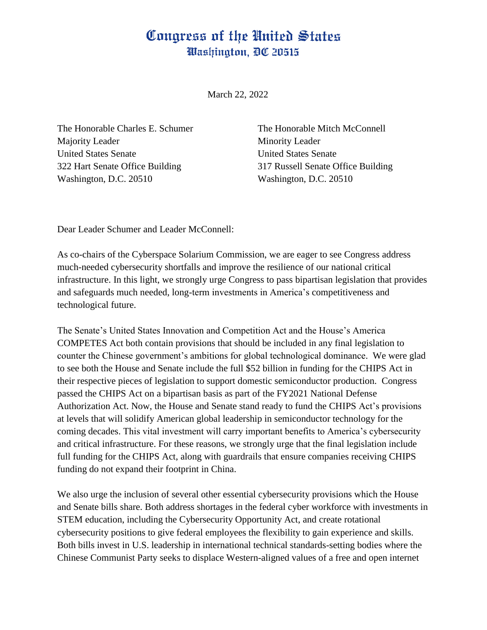## Congress of the United States Washington, DC 20515

March 22, 2022

The Honorable Charles E. Schumer Majority Leader United States Senate 322 Hart Senate Office Building Washington, D.C. 20510

The Honorable Mitch McConnell Minority Leader United States Senate 317 Russell Senate Office Building Washington, D.C. 20510

Dear Leader Schumer and Leader McConnell:

As co-chairs of the Cyberspace Solarium Commission, we are eager to see Congress address much-needed cybersecurity shortfalls and improve the resilience of our national critical infrastructure. In this light, we strongly urge Congress to pass bipartisan legislation that provides and safeguards much needed, long-term investments in America's competitiveness and technological future.

The Senate's United States Innovation and Competition Act and the House's America COMPETES Act both contain provisions that should be included in any final legislation to counter the Chinese government's ambitions for global technological dominance. We were glad to see both the House and Senate include the full \$52 billion in funding for the CHIPS Act in their respective pieces of legislation to support domestic semiconductor production. Congress passed the CHIPS Act on a bipartisan basis as part of the FY2021 National Defense Authorization Act. Now, the House and Senate stand ready to fund the CHIPS Act's provisions at levels that will solidify American global leadership in semiconductor technology for the coming decades. This vital investment will carry important benefits to America's cybersecurity and critical infrastructure. For these reasons, we strongly urge that the final legislation include full funding for the CHIPS Act, along with guardrails that ensure companies receiving CHIPS funding do not expand their footprint in China.

We also urge the inclusion of several other essential cybersecurity provisions which the House and Senate bills share. Both address shortages in the federal cyber workforce with investments in STEM education, including the Cybersecurity Opportunity Act, and create rotational cybersecurity positions to give federal employees the flexibility to gain experience and skills. Both bills invest in U.S. leadership in international technical standards-setting bodies where the Chinese Communist Party seeks to displace Western-aligned values of a free and open internet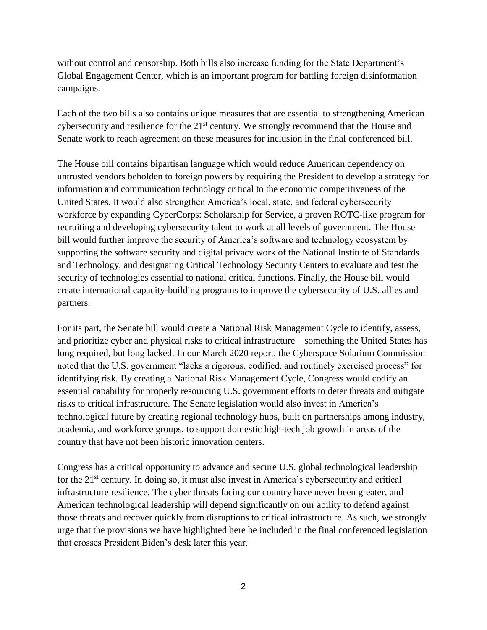without control and censorship. Both bills also increase funding for the State Department's Global Engagement Center, which is an important program for battling foreign disinformation campaigns.

Each of the two bills also contains unique measures that are essential to strengthening American cybersecurity and resilience for the 21<sup>st</sup> century. We strongly recommend that the House and Senate work to reach agreement on these measures for inclusion in the final conferenced bill.

The House bill contains bipartisan language which would reduce American dependency on untrusted vendors beholden to foreign powers by requiring the President to develop a strategy for information and communication technology critical to the economic competitiveness of the United States. It would also strengthen America's local, state, and federal cybersecurity workforce by expanding CyberCorps: Scholarship for Service, a proven ROTC-like program for recruiting and developing cybersecurity talent to work at all levels of government. The House bill would further improve the security of America's software and technology ecosystem by supporting the software security and digital privacy work of the National Institute of Standards and Technology, and designating Critical Technology Security Centers to evaluate and test the security of technologies essential to national critical functions. Finally, the House bill would create international capacity-building programs to improve the cybersecurity of U.S. allies and partners.

For its part, the Senate bill would create a National Risk Management Cycle to identify, assess, and prioritize cyber and physical risks to critical infrastructure – something the United States has long required, but long lacked. In our March 2020 report, the Cyberspace Solarium Commission noted that the U.S. government "lacks a rigorous, codified, and routinely exercised process" for identifying risk. By creating a National Risk Management Cycle, Congress would codify an essential capability for properly resourcing U.S. government efforts to deter threats and mitigate risks to critical infrastructure. The Senate legislation would also invest in America's technological future by creating regional technology hubs, built on partnerships among industry, academia, and workforce groups, to support domestic high-tech job growth in areas of the country that have not been historic innovation centers.

Congress has a critical opportunity to advance and secure U.S. global technological leadership for the 21<sup>st</sup> century. In doing so, it must also invest in America's cybersecurity and critical infrastructure resilience. The cyber threats facing our country have never been greater, and American technological leadership will depend significantly on our ability to defend against those threats and recover quickly from disruptions to critical infrastructure. As such, we strongly urge that the provisions we have highlighted here be included in the final conferenced legislation that crosses President Biden's desk later this year.